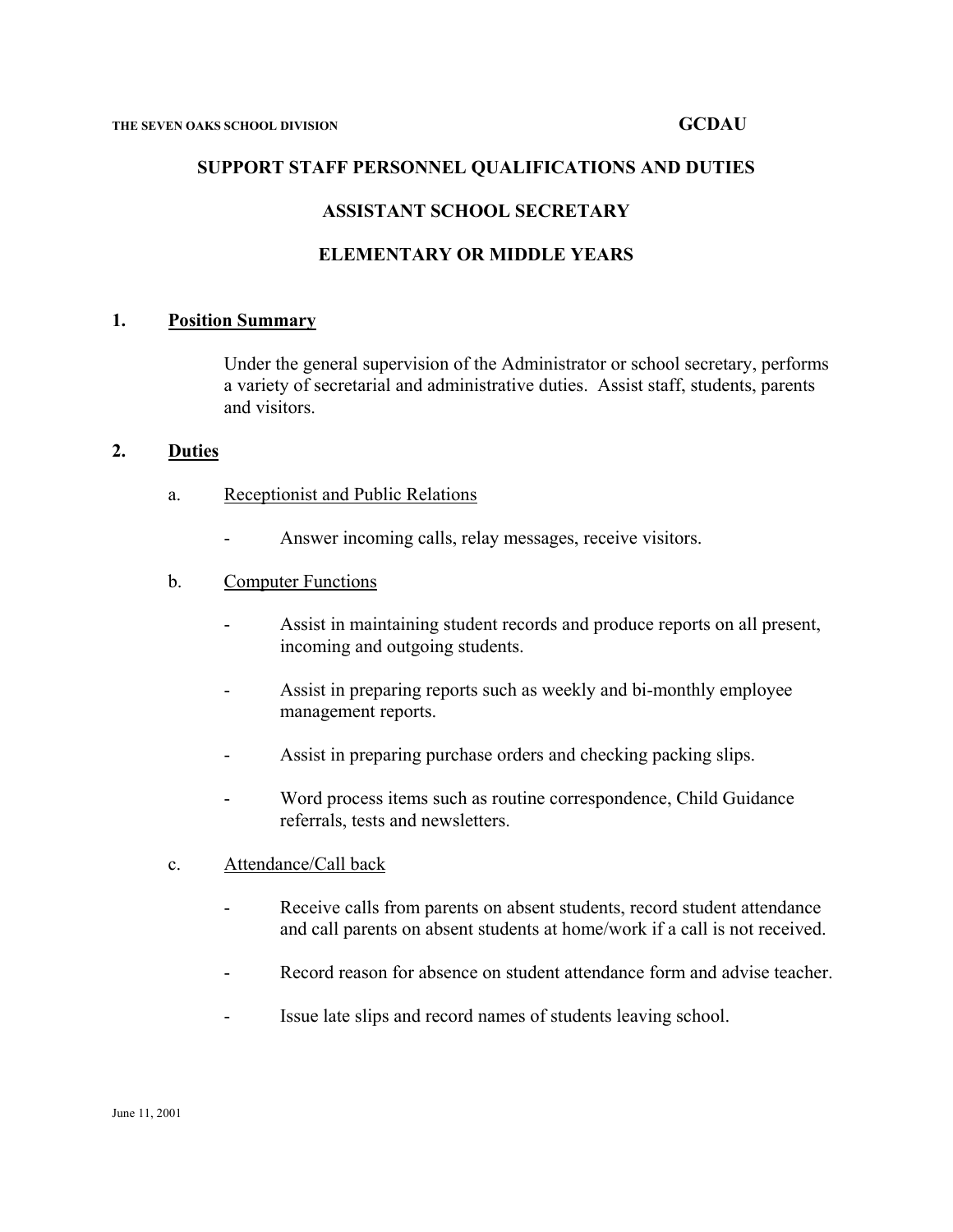## **SUPPORT STAFF PERSONNEL QUALIFICATIONS AND DUTIES**

## **ASSISTANT SCHOOL SECRETARY**

## **ELEMENTARY OR MIDDLE YEARS**

### **1. Position Summary**

Under the general supervision of the Administrator or school secretary, performs a variety of secretarial and administrative duties. Assist staff, students, parents and visitors.

### **2. Duties**

- a. Receptionist and Public Relations
	- Answer incoming calls, relay messages, receive visitors.

### b. Computer Functions

- Assist in maintaining student records and produce reports on all present, incoming and outgoing students.
- Assist in preparing reports such as weekly and bi-monthly employee management reports.
- Assist in preparing purchase orders and checking packing slips.
- Word process items such as routine correspondence, Child Guidance referrals, tests and newsletters.
- c. Attendance/Call back
	- Receive calls from parents on absent students, record student attendance and call parents on absent students at home/work if a call is not received.
	- Record reason for absence on student attendance form and advise teacher.
	- Issue late slips and record names of students leaving school.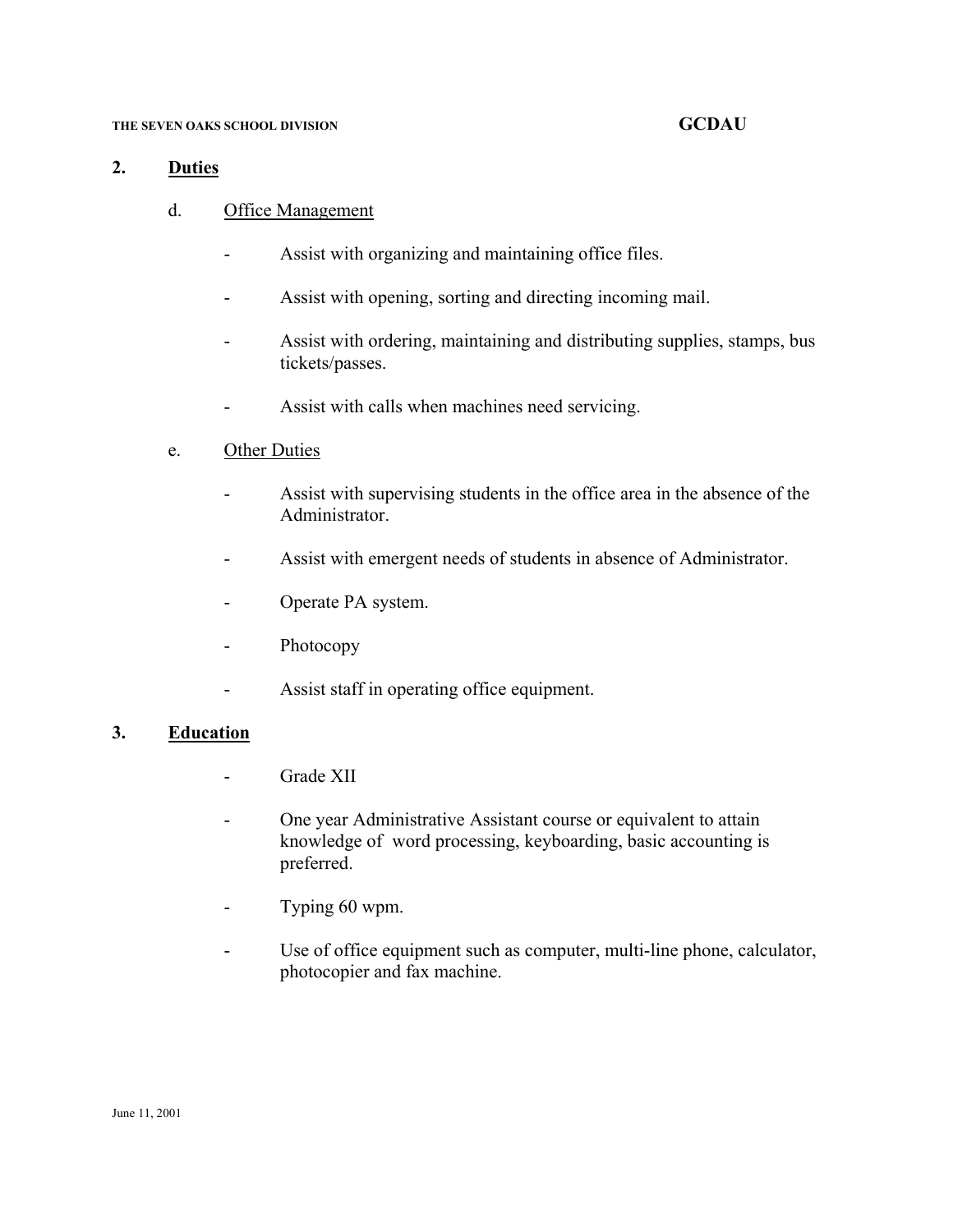### **THE SEVEN OAKS SCHOOL DIVISION GCDAU**

### **2. Duties**

- d. Office Management
	- Assist with organizing and maintaining office files.
	- Assist with opening, sorting and directing incoming mail.
	- Assist with ordering, maintaining and distributing supplies, stamps, bus tickets/passes.
	- Assist with calls when machines need servicing.
- e. Other Duties
	- Assist with supervising students in the office area in the absence of the Administrator.
	- Assist with emergent needs of students in absence of Administrator.
	- Operate PA system.
	- Photocopy
	- Assist staff in operating office equipment.

### **3. Education**

- Grade XII
- One year Administrative Assistant course or equivalent to attain knowledge of word processing, keyboarding, basic accounting is preferred.
- Typing 60 wpm.
- Use of office equipment such as computer, multi-line phone, calculator, photocopier and fax machine.